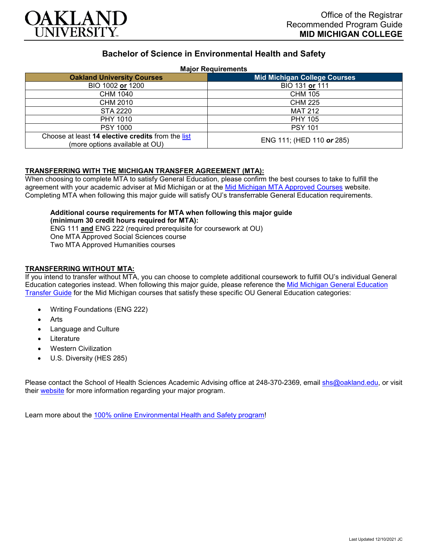

# **Bachelor of Science in Environmental Health and Safety**

#### **Major Requirements**

| <b>Oakland University Courses</b>                                                   | <b>Mid Michigan College Courses</b> |
|-------------------------------------------------------------------------------------|-------------------------------------|
| BIO 1002 or 1200                                                                    | BIO 131 or 111                      |
| CHM 1040                                                                            | <b>CHM 105</b>                      |
| CHM 2010                                                                            | CHM 225                             |
| STA 2220                                                                            | <b>MAT 212</b>                      |
| PHY 1010                                                                            | <b>PHY 105</b>                      |
| <b>PSY 1000</b>                                                                     | <b>PSY 101</b>                      |
| Choose at least 14 elective credits from the list<br>(more options available at OU) | ENG 111; (HED 110 or 285)           |

### **TRANSFERRING WITH THE MICHIGAN TRANSFER AGREEMENT (MTA):**

When choosing to complete MTA to satisfy General Education, please confirm the best courses to take to fulfill the agreement with your academic adviser at Mid Michigan or at the [Mid Michigan MTA Approved Courses](https://www.midmich.edu/academics/transfer/mta) website. Completing MTA when following this major guide will satisfy OU's transferrable General Education requirements.

**Additional course requirements for MTA when following this major guide (minimum 30 credit hours required for MTA):** ENG 111 **and** ENG 222 (required prerequisite for coursework at OU) One MTA Approved Social Sciences course Two MTA Approved Humanities courses

#### **TRANSFERRING WITHOUT MTA:**

If you intend to transfer without MTA, you can choose to complete additional coursework to fulfill OU's individual General Education categories instead. When following this major guide, please reference the [Mid Michigan General Education](https://www.oakland.edu/Assets/Oakland/program-guides/mid-michigan-community-college/university-general-education-requirements/Mid%20Michigan%20Gen%20Ed.pdf)  [Transfer Guide](https://www.oakland.edu/Assets/Oakland/program-guides/mid-michigan-community-college/university-general-education-requirements/Mid%20Michigan%20Gen%20Ed.pdf) for the Mid Michigan courses that satisfy these specific OU General Education categories:

- Writing Foundations (ENG 222)
- **Arts**
- Language and Culture
- Literature
- Western Civilization
- U.S. Diversity (HES 285)

Please contact the School of Health Sciences Academic Advising office at 248-370-2369, email [shs@oakland.edu,](mailto:shs@oakland.edu) or visit their [website](http://www.oakland.edu/shs/advising) for more information regarding your major program.

Learn more about the [100% online Environmental Health and Safety program!](https://www.oakland.edu/online/undergraduate-degree-programs/ehs/)